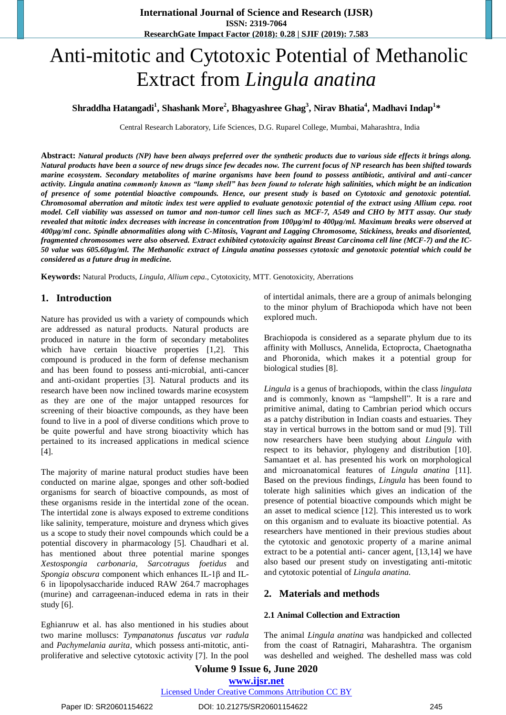# Anti-mitotic and Cytotoxic Potential of Methanolic Extract from *Lingula anatina*

## **Shraddha Hatangadi<sup>1</sup> , Shashank More<sup>2</sup> , Bhagyashree Ghag<sup>3</sup> , Nirav Bhatia<sup>4</sup> , Madhavi Indap<sup>1</sup> \***

Central Research Laboratory, Life Sciences, D.G. Ruparel College, Mumbai, Maharashtra, India

**Abstract:** *Natural products (NP) have been always preferred over the synthetic products due to various side effects it brings along. Natural products have been a source of new drugs since few decades now. The current focus of NP research has been shifted towards marine ecosystem. Secondary metabolites of marine organisms have been found to possess antibiotic, antiviral and anti-cancer activity. Lingula anatina commonly known as "lamp shell" has been found to tolerate high salinities, which might be an indication of presence of some potential bioactive compounds. Hence, our present study is based on Cytotoxic and genotoxic potential. Chromosomal aberration and mitotic index test were applied to evaluate genotoxic potential of the extract using Allium cepa. root model. Cell viability was assessed on tumor and non-tumor cell lines such as MCF-7, A549 and CHO by MTT assay. Our study revealed that mitotic index decreases with increase in concentration from 100µg/ml to 400µg/ml. Maximum breaks were observed at 400µg/ml conc. Spindle abnormalities along with C-Mitosis, Vagrant and Lagging Chromosome, Stickiness, breaks and disoriented, fragmented chromosomes were also observed. Extract exhibited cytotoxicity against Breast Carcinoma cell line (MCF-7) and the IC-50 value was 605.60µg/ml. The Methanolic extract of Lingula anatina possesses cytotoxic and genotoxic potential which could be considered as a future drug in medicine.*

**Keywords:** Natural Products, *Lingula*, *Allium cepa*., Cytotoxicity, MTT. Genotoxicity, Aberrations

## **1. Introduction**

Nature has provided us with a variety of compounds which are addressed as natural products. Natural products are produced in nature in the form of secondary metabolites which have certain bioactive properties [1,2]. This compound is produced in the form of defense mechanism and has been found to possess anti-microbial, anti-cancer and anti-oxidant properties [3]. Natural products and its research have been now inclined towards marine ecosystem as they are one of the major untapped resources for screening of their bioactive compounds, as they have been found to live in a pool of diverse conditions which prove to be quite powerful and have strong bioactivity which has pertained to its increased applications in medical science [4].

The majority of marine natural product studies have been conducted on marine algae, sponges and other soft-bodied organisms for search of bioactive compounds, as most of these organisms reside in the intertidal zone of the ocean. The intertidal zone is always exposed to extreme conditions like salinity, temperature, moisture and dryness which gives us a scope to study their novel compounds which could be a potential discovery in pharmacology [5]. Chaudhari et al. has mentioned about three potential marine sponges *Xestospongia carbonaria, Sarcotragus foetidus* and *Spongia obscura* component which enhances IL-1β and IL-6 in lipopolysaccharide induced RAW 264.7 macrophages (murine) and carrageenan-induced edema in rats in their study [6].

Eghianruw et al. has also mentioned in his studies about two marine molluscs: *Tympanatonus fuscatus var radula*  and *Pachymelania aurita,* which possess anti-mitotic, antiproliferative and selective cytotoxic activity [7]. In the pool of intertidal animals, there are a group of animals belonging to the minor phylum of Brachiopoda which have not been explored much.

Brachiopoda is considered as a separate phylum due to its affinity with Molluscs, Annelida, Ectoprocta, Chaetognatha and Phoronida, which makes it a potential group for biological studies [8].

*Lingula* is a genus of brachiopods, within the class *lingulata*  and is commonly, known as "lampshell". It is a rare and primitive animal, dating to Cambrian period which occurs as a patchy distribution in Indian coasts and estuaries. They stay in vertical burrows in the bottom sand or mud [9]. Till now researchers have been studying about *Lingula* with respect to its behavior, phylogeny and distribution [10]. Samantaet et al. has presented his work on morphological and microanatomical features of *Lingula anatina* [11]. Based on the previous findings*, Lingula* has been found to tolerate high salinities which gives an indication of the presence of potential bioactive compounds which might be an asset to medical science [12]. This interested us to work on this organism and to evaluate its bioactive potential. As researchers have mentioned in their previous studies about the cytotoxic and genotoxic property of a marine animal extract to be a potential anti- cancer agent, [13,14] we have also based our present study on investigating anti-mitotic and cytotoxic potential of *Lingula anatina.*

#### **2. Materials and methods**

#### **2.1 Animal Collection and Extraction**

The animal *Lingula anatina* was handpicked and collected from the coast of Ratnagiri, Maharashtra. The organism was deshelled and weighed. The deshelled mass was cold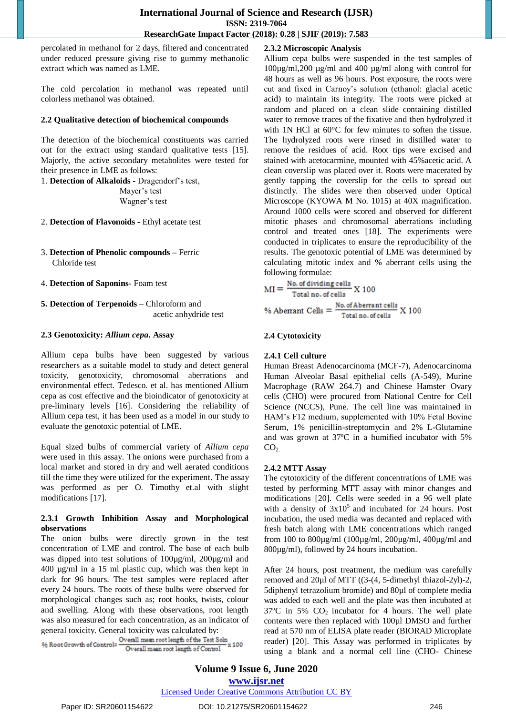percolated in methanol for 2 days, filtered and concentrated under reduced pressure giving rise to gummy methanolic extract which was named as LME.

The cold percolation in methanol was repeated until colorless methanol was obtained.

#### **2.2 Qualitative detection of biochemical compounds**

The detection of the biochemical constituents was carried out for the extract using standard qualitative tests [15]. Majorly, the active secondary metabolites were tested for their presence in LME as follows:

1. **Detection of Alkaloids -** Dragendorf"s test, Mayer's test Wagner's test

2. **Detection of Flavonoids -** Ethyl acetate test

3. **Detection of Phenolic compounds –** Ferric Chloride test

4. **Detection of Saponins-** Foam test

**5. Detection of Terpenoids** – Chloroform and acetic anhydride test

#### **2.3 Genotoxicity:** *Allium cepa***. Assay**

Allium cepa bulbs have been suggested by various researchers as a suitable model to study and detect general toxicity, genotoxicity, chromosomal aberrations and environmental effect. Tedesco. et al. has mentioned Allium cepa as cost effective and the bioindicator of genotoxicity at pre-liminary levels [16]. Considering the reliability of Allium cepa test, it has been used as a model in our study to evaluate the genotoxic potential of LME.

Equal sized bulbs of commercial variety of *Allium cepa* were used in this assay. The onions were purchased from a local market and stored in dry and well aerated conditions till the time they were utilized for the experiment. The assay was performed as per O. Timothy et.al with slight modifications [17].

#### **2.3.1 Growth Inhibition Assay and Morphological observations**

The onion bulbs were directly grown in the test concentration of LME and control. The base of each bulb was dipped into test solutions of 100µg/ml, 200µg/ml and 400 µg/ml in a 15 ml plastic cup, which was then kept in dark for 96 hours. The test samples were replaced after every 24 hours. The roots of these bulbs were observed for morphological changes such as; root hooks, twists, colour and swelling. Along with these observations, root length was also measured for each concentration, as an indicator of

general toxicity. General toxicity was calculated by:<br>  $% RootGrowth of Control = \frac{Overall \, mean \, root \, length \, of \, the \, Test \, Soln}{Overall \, mean \, root \, length \, of \, Control} \times 100$ 

## **2.3.2 Microscopic Analysis**

Allium cepa bulbs were suspended in the test samples of 100µg/ml,200 µg/ml and 400 µg/ml along with control for 48 hours as well as 96 hours. Post exposure, the roots were cut and fixed in Carnoy"s solution (ethanol: glacial acetic acid) to maintain its integrity. The roots were picked at random and placed on a clean slide containing distilled water to remove traces of the fixative and then hydrolyzed it with 1N HCl at 60°C for few minutes to soften the tissue. The hydrolyzed roots were rinsed in distilled water to remove the residues of acid. Root tips were excised and stained with acetocarmine, mounted with 45%acetic acid. A clean coverslip was placed over it. Roots were macerated by gently tapping the coverslip for the cells to spread out distinctly. The slides were then observed under Optical Microscope (KYOWA M No. 1015) at 40X magnification. Around 1000 cells were scored and observed for different mitotic phases and chromosomal aberrations including control and treated ones [18]. The experiments were conducted in triplicates to ensure the reproducibility of the results. The genotoxic potential of LME was determined by calculating mitotic index and % aberrant cells using the following formulae:

$$
MI = \frac{No. of dividing cells}{Total no. of cells} X 100
$$
  
% Aberrant Cells =  $\frac{No. of Aberrant cells}{Total no. of cells} X 100$ 

## **2.4 Cytotoxicity**

## **2.4.1 Cell culture**

Human Breast Adenocarcinoma (MCF-7), Adenocarcinoma Human Alveolar Basal epithelial cells (A-549), Murine Macrophage (RAW 264.7) and Chinese Hamster Ovary cells (CHO) were procured from National Centre for Cell Science (NCCS), Pune. The cell line was maintained in HAM"s F12 medium, supplemented with 10% Fetal Bovine Serum, 1% penicillin-streptomycin and 2% L-Glutamine and was grown at 37ºC in a humified incubator with 5%  $CO<sub>2</sub>$ 

## **2.4.2 MTT Assay**

The cytotoxicity of the different concentrations of LME was tested by performing MTT assay with minor changes and modifications [20]. Cells were seeded in a 96 well plate with a density of  $3x10^5$  and incubated for 24 hours. Post incubation, the used media was decanted and replaced with fresh batch along with LME concentrations which ranged from 100 to 800µg/ml (100µg/ml, 200µg/ml, 400µg/ml and 800µg/ml), followed by 24 hours incubation.

After 24 hours, post treatment, the medium was carefully removed and 20µl of MTT ((3-(4, 5-dimethyl thiazol-2yl)-2, 5diphenyl tetrazolium bromide) and 80µl of complete media was added to each well and the plate was then incubated at  $37^{\circ}$ C in 5% CO<sub>2</sub> incubator for 4 hours. The well plate contents were then replaced with 100µl DMSO and further read at 570 nm of ELISA plate reader (BIORAD Microplate reader) [20]. This Assay was performed in triplicates by using a blank and a normal cell line (CHO- Chinese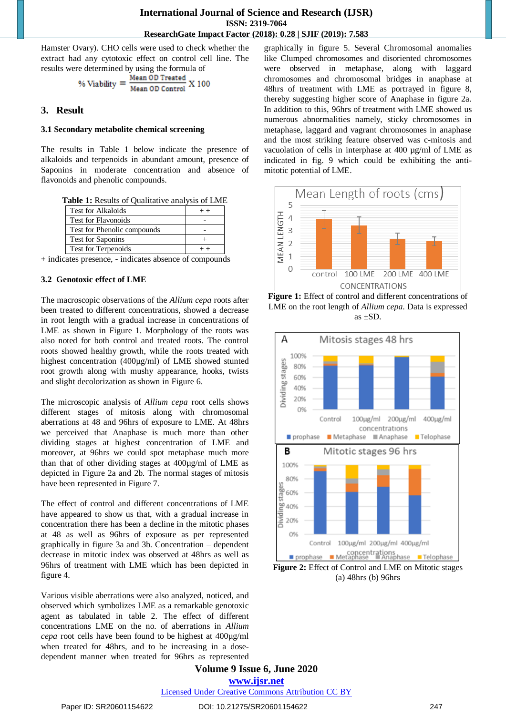Hamster Ovary). CHO cells were used to check whether the extract had any cytotoxic effect on control cell line. The results were determined by using the formula of

% Viability = 
$$
\frac{\text{Mean OD Treated}}{\text{Mean OD Control}} \times 100
$$

## **3. Result**

#### **3.1 Secondary metabolite chemical screening**

The results in Table 1 below indicate the presence of alkaloids and terpenoids in abundant amount, presence of Saponins in moderate concentration and absence of flavonoids and phenolic compounds.

|  |  | Table 1: Results of Qualitative analysis of LME |  |  |
|--|--|-------------------------------------------------|--|--|
|--|--|-------------------------------------------------|--|--|

| <b>Test for Alkaloids</b>   |  |
|-----------------------------|--|
| <b>Test for Flavonoids</b>  |  |
| Test for Phenolic compounds |  |
| <b>Test for Saponins</b>    |  |
| <b>Test for Terpenoids</b>  |  |

+ indicates presence, - indicates absence of compounds

## **3.2 Genotoxic effect of LME**

The macroscopic observations of the *Allium cepa* roots after been treated to different concentrations, showed a decrease in root length with a gradual increase in concentrations of LME as shown in Figure 1. Morphology of the roots was also noted for both control and treated roots. The control roots showed healthy growth, while the roots treated with highest concentration (400µg/ml) of LME showed stunted root growth along with mushy appearance, hooks, twists and slight decolorization as shown in Figure 6.

The microscopic analysis of *Allium cepa* root cells shows different stages of mitosis along with chromosomal aberrations at 48 and 96hrs of exposure to LME. At 48hrs we perceived that Anaphase is much more than other dividing stages at highest concentration of LME and moreover, at 96hrs we could spot metaphase much more than that of other dividing stages at 400µg/ml of LME as depicted in Figure 2a and 2b. The normal stages of mitosis have been represented in Figure 7.

The effect of control and different concentrations of LME have appeared to show us that, with a gradual increase in concentration there has been a decline in the mitotic phases at 48 as well as 96hrs of exposure as per represented graphically in figure 3a and 3b. Concentration – dependent decrease in mitotic index was observed at 48hrs as well as 96hrs of treatment with LME which has been depicted in figure 4.

Various visible aberrations were also analyzed, noticed, and observed which symbolizes LME as a remarkable genotoxic agent as tabulated in table 2. The effect of different concentrations LME on the no. of aberrations in *Allium cepa* root cells have been found to be highest at 400µg/ml when treated for 48hrs, and to be increasing in a dosedependent manner when treated for 96hrs as represented graphically in figure 5. Several Chromosomal anomalies like Clumped chromosomes and disoriented chromosomes were observed in metaphase, along with laggard chromosomes and chromosomal bridges in anaphase at 48hrs of treatment with LME as portrayed in figure 8, thereby suggesting higher score of Anaphase in figure 2a. In addition to this, 96hrs of treatment with LME showed us numerous abnormalities namely, sticky chromosomes in metaphase, laggard and vagrant chromosomes in anaphase and the most striking feature observed was c-mitosis and vacuolation of cells in interphase at 400 µg/ml of LME as indicated in fig. 9 which could be exhibiting the antimitotic potential of LME.



**Figure 1:** Effect of control and different concentrations of LME on the root length of *Allium cepa.* Data is expressed as ±SD.



**Figure 2:** Effect of Control and LME on Mitotic stages (a) 48hrs (b) 96hrs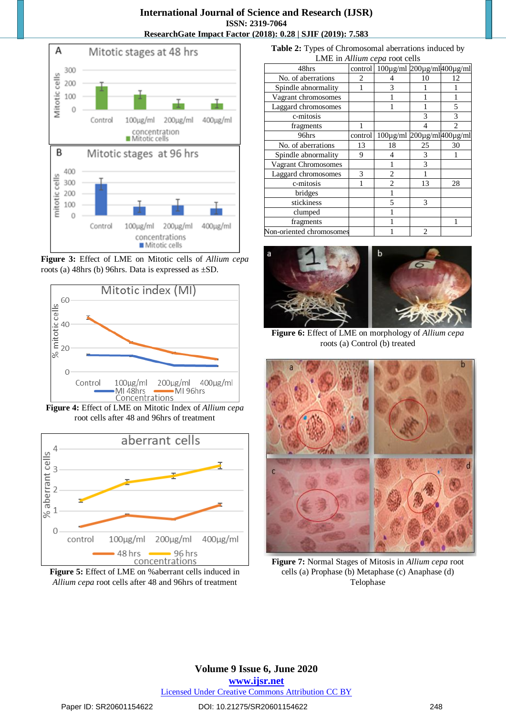

**Figure 3:** Effect of LME on Mitotic cells of *Allium cepa* roots (a) 48hrs (b) 96hrs. Data is expressed as ±SD.



**Figure 4:** Effect of LME on Mitotic Index of *Allium cepa* root cells after 48 and 96hrs of treatment



**Figure 5:** Effect of LME on %aberrant cells induced in *Allium cepa* root cells after 48 and 96hrs of treatment

**Table 2:** Types of Chromosomal aberrations induced by LME in *Allium cepa* root cells

| 48hrs                    | control | 100μg/ml 200μg/ml400μg/ml |                  |                |
|--------------------------|---------|---------------------------|------------------|----------------|
| No. of aberrations       | 2       |                           | 10               | 12             |
| Spindle abnormality      |         | 3                         |                  |                |
| Vagrant chromosomes      |         |                           |                  |                |
| Laggard chromosomes      |         |                           |                  | $\overline{5}$ |
| c-mitosis                |         |                           | 3                | 3              |
| fragments                |         |                           |                  |                |
| 96hrs                    | control | $100\mu\text{g/ml}$       | 200µg/ml400µg/ml |                |
| No. of aberrations       | 13      | 18                        | 25               | 30             |
| Spindle abnormality      | 9       | 4                         | 3                |                |
| Vagrant Chromosomes      |         |                           | 3                |                |
| Laggard chromosomes      | 3       | 2                         |                  |                |
| c-mitosis                |         | $\overline{c}$            | 13               | 28             |
| bridges                  |         |                           |                  |                |
| stickiness               |         | 5                         | 3                |                |
| clumped                  |         |                           |                  |                |
| fragments                |         |                           |                  |                |
| Non-oriented chromosomes |         |                           | $\mathfrak{D}$   |                |



**Figure 6:** Effect of LME on morphology of *Allium cepa* roots (a) Control (b) treated



**Figure 7:** Normal Stages of Mitosis in *Allium cepa* root cells (a) Prophase (b) Metaphase (c) Anaphase (d) Telophase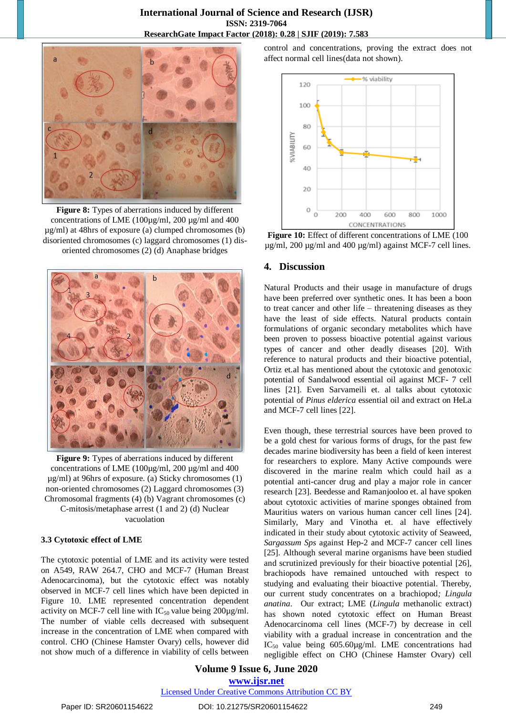

**Figure 8:** Types of aberrations induced by different concentrations of LME (100µg/ml, 200 µg/ml and 400 µg/ml) at 48hrs of exposure (a) clumped chromosomes (b) disoriented chromosomes (c) laggard chromosomes (1) disoriented chromosomes (2) (d) Anaphase bridges



**Figure 9:** Types of aberrations induced by different concentrations of LME (100µg/ml, 200 µg/ml and 400 µg/ml) at 96hrs of exposure. (a) Sticky chromosomes (1) non-oriented chromosomes (2) Laggard chromosomes (3) Chromosomal fragments (4) (b) Vagrant chromosomes (c)

C-mitosis/metaphase arrest (1 and 2) (d) Nuclear vacuolation

## **3.3 Cytotoxic effect of LME**

The cytotoxic potential of LME and its activity were tested on A549, RAW 264.7, CHO and MCF-7 (Human Breast Adenocarcinoma), but the cytotoxic effect was notably observed in MCF-7 cell lines which have been depicted in Figure 10. LME represented concentration dependent activity on MCF-7 cell line with  $IC_{50}$  value being 200 $\mu$ g/ml. The number of viable cells decreased with subsequent increase in the concentration of LME when compared with control. CHO (Chinese Hamster Ovary) cells, however did not show much of a difference in viability of cells between

control and concentrations, proving the extract does not affect normal cell lines(data not shown).



**Figure 10:** Effect of different concentrations of LME (100 µg/ml, 200 µg/ml and 400 µg/ml) against MCF-7 cell lines.

## **4. Discussion**

Natural Products and their usage in manufacture of drugs have been preferred over synthetic ones. It has been a boon to treat cancer and other life – threatening diseases as they have the least of side effects. Natural products contain formulations of organic secondary metabolites which have been proven to possess bioactive potential against various types of cancer and other deadly diseases [20]. With reference to natural products and their bioactive potential, Ortiz et.al has mentioned about the cytotoxic and genotoxic potential of Sandalwood essential oil against MCF- 7 cell lines [21]. Even Sarvameili et. al talks about cytotoxic potential of *Pinus elderica* essential oil and extract on HeLa and MCF-7 cell lines [22].

Even though, these terrestrial sources have been proved to be a gold chest for various forms of drugs, for the past few decades marine biodiversity has been a field of keen interest for researchers to explore. Many Active compounds were discovered in the marine realm which could hail as a potential anti-cancer drug and play a major role in cancer research [23]. Beedesse and Ramanjooloo et. al have spoken about cytotoxic activities of marine sponges obtained from Mauritius waters on various human cancer cell lines [24]. Similarly, Mary and Vinotha et. al have effectively indicated in their study about cytotoxic activity of Seaweed, *Sargassum Sps* against Hep-2 and MCF-7 cancer cell lines [25]. Although several marine organisms have been studied and scrutinized previously for their bioactive potential [26], brachiopods have remained untouched with respect to studying and evaluating their bioactive potential. Thereby, our current study concentrates on a brachiopod*; Lingula anatina*. Our extract; LME (*Lingula* methanolic extract) has shown noted cytotoxic effect on Human Breast Adenocarcinoma cell lines (MCF-7) by decrease in cell viability with a gradual increase in concentration and the  $IC_{50}$  value being  $605.60 \mu\text{g/ml}$ . LME concentrations had negligible effect on CHO (Chinese Hamster Ovary) cell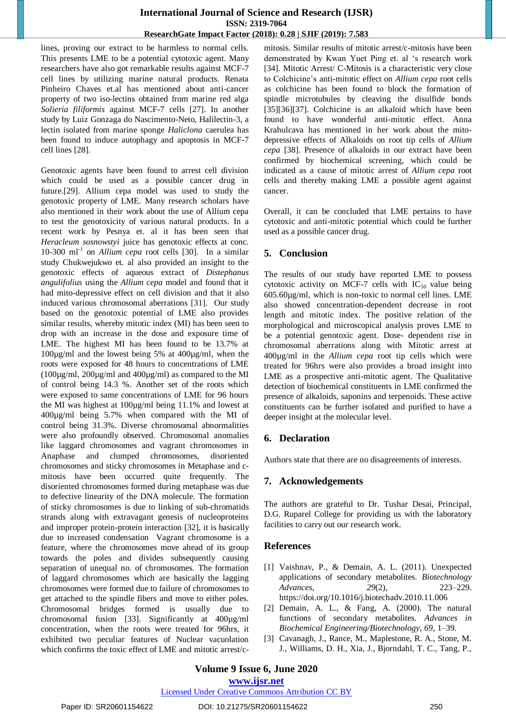lines, proving our extract to be harmless to normal cells. This presents LME to be a potential cytotoxic agent. Many researchers have also got remarkable results against MCF-7 cell lines by utilizing marine natural products. Renata Pinheiro Chaves et.al has mentioned about anti-cancer property of two iso-lectins obtained from marine red alga *Solieria filiformis* against MCF-7 cells [27]. In another study by Luiz Gonzaga do Nascimento-Neto, Halilectin-3, a lectin isolated from marine sponge *Haliclona* caerulea has been found to induce autophagy and apoptosis in MCF-7 cell lines [28].

Genotoxic agents have been found to arrest cell division which could be used as a possible cancer drug in future.[29]. Allium cepa model was used to study the genotoxic property of LME. Many research scholars have also mentioned in their work about the use of Allium cepa to test the genotoxicity of various natural products. In a recent work by Pesnya et. al it has been seen that *Heracleum sosnowstyi* juice has genotoxic effects at conc. 10-300 ml<sup>-1</sup> on *Allium cepa* root cells [30]. In a similar study Chukwejukwo et. al also provided an insight to the genotoxic effects of aqueous extract of *Distephanus angulifolius* using the *Allium cepa* model and found that it had mito-depressive effect on cell division and that it also induced various chromosomal aberrations [31]. Our study based on the genotoxic potential of LME also provides similar results, whereby mitotic index (MI) has been seen to drop with an increase in the dose and exposure time of LME. The highest MI has been found to be 13.7% at 100µg/ml and the lowest being 5% at 400µg/ml, when the roots were exposed for 48 hours to concentrations of LME ( $100\mu$ g/ml,  $200\mu$ g/ml and  $400\mu$ g/ml) as compared to the MI of control being 14.3 %. Another set of the roots which were exposed to same concentrations of LME for 96 hours the MI was highest at 100µg/ml being 11.1% and lowest at 400µg/ml being 5.7% when compared with the MI of control being 31.3%. Diverse chromosomal abnormalities were also profoundly observed. Chromosomal anomalies like laggard chromosomes and vagrant chromosomes in Anaphase and clumped chromosomes, disoriented chromosomes and sticky chromosomes in Metaphase and cmitosis have been occurred quite frequently. The disoriented chromosomes formed during metaphase was due to defective linearity of the DNA molecule. The formation of sticky chromosomes is due to linking of sub-chromatids strands along with extravagant genesis of nucleoproteins and improper protein-protein interaction [32], it is basically due to increased condensation Vagrant chromosome is a feature, where the chromosomes move ahead of its group towards the poles and divides subsequently causing separation of unequal no. of chromosomes. The formation of laggard chromosomes which are basically the lagging chromosomes were formed due to failure of chromosomes to get attached to the spindle fibers and move to either poles. Chromosomal bridges formed is usually due to chromosomal fusion [33]. Significantly at 400µg/ml concentration, when the roots were treated for 96hrs, it exhibited two peculiar features of Nuclear vacuolation which confirms the toxic effect of LME and mitotic arrest/cmitosis. Similar results of mitotic arrest/c-mitosis have been demonstrated by Kwan Yuet Ping et. al "s research work [34]. Mitotic Arrest/ C-Mitosis is a characteristic very close to Colchicine"s anti-mitotic effect on *Allium cepa* root cells as colchicine has been found to block the formation of spindle microtubules by cleaving the disulfide bonds [35][36][37]. Colchicine is an alkaloid which have been found to have wonderful anti-mitotic effect. Anna Krahulcava has mentioned in her work about the mitodepressive effects of Alkaloids on root tip cells of *Allium cepa* [38]. Presence of alkaloids in our extract have been confirmed by biochemical screening, which could be indicated as a cause of mitotic arrest of *Allium cepa* root cells and thereby making LME a possible agent against cancer.

Overall, it can be concluded that LME pertains to have cytotoxic and anti-mitotic potential which could be further used as a possible cancer drug.

## **5. Conclusion**

The results of our study have reported LME to possess cytotoxic activity on MCF-7 cells with  $IC_{50}$  value being 605.60µg/ml, which is non-toxic to normal cell lines. LME also showed concentration-dependent decrease in root length and mitotic index. The positive relation of the morphological and microscopical analysis proves LME to be a potential genotoxic agent. Dose- dependent rise in chromosomal aberrations along with Mitotic arrest at 400µg/ml in the *Allium cepa* root tip cells which were treated for 96hrs were also provides a broad insight into LME as a prospective anti-mitotic agent. The Qualitative detection of biochemical constituents in LME confirmed the presence of alkaloids, saponins and terpenoids. These active constituents can be further isolated and purified to have a deeper insight at the molecular level.

# **6. Declaration**

Authors state that there are no disagreements of interests.

## **7. Acknowledgements**

The authors are grateful to Dr. Tushar Desai, Principal, D.G. Ruparel College for providing us with the laboratory facilities to carry out our research work.

## **References**

- [1] Vaishnav, P., & Demain, A. L. (2011). Unexpected applications of secondary metabolites. *Biotechnology Advances*, *29*(2), 223–229. <https://doi.org/10.1016/j.biotechadv.2010.11.006>
- [2] Demain, A. L., & Fang, A. (2000). The natural functions of secondary metabolites. *Advances in Biochemical Engineering/Biotechnology*, *69*, 1–39.
- [3] Cavanagh, J., Rance, M., Maplestone, R. A., Stone, M. J., Williams, D. H., Xia, J., Bjorndahl, T. C., Tang, P.,

Licensed Under Creative Commons Attribution CC BY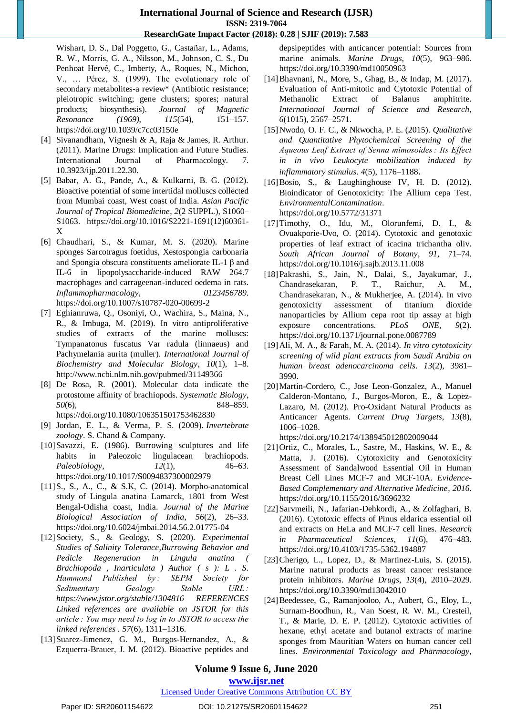Wishart, D. S., Dal Poggetto, G., Castañar, L., Adams, R. W., Morris, G. A., Nilsson, M., Johnson, C. S., Du Penhoat Hervé, C., Imberty, A., Roques, N., Michon, V., … Pérez, S. (1999). The evolutionary role of secondary metabolites-a review\* (Antibiotic resistance; pleiotropic switching; gene clusters; spores; natural products; biosynthesis). *Journal of Magnetic Resonance (1969)*, *115*(54), 151–157. <https://doi.org/10.1039/c7cc03150e>

- [4] Sivanandham, Vignesh & A, Raja & James, R. Arthur. (2011). Marine Drugs: Implication and Future Studies. International Journal of Pharmacology. 7. 10.3923/ijp.2011.22.30.
- [5] Babar, A. G., Pande, A., & Kulkarni, B. G. (2012). Bioactive potential of some intertidal molluscs collected from Mumbai coast, West coast of India. *Asian Pacific Journal of Tropical Biomedicine*, *2*(2 SUPPL.), S1060– S1063. [https://doi.org/10.1016/S2221-1691\(12\)60361-](https://doi.org/10.1016/S2221-1691(12)60361-X) [X](https://doi.org/10.1016/S2221-1691(12)60361-X)
- [6] Chaudhari, S., & Kumar, M. S. (2020). Marine sponges Sarcotragus foetidus, Xestospongia carbonaria and Spongia obscura constituents ameliorate IL-1 β and IL-6 in lipopolysaccharide-induced RAW 264.7 macrophages and carrageenan-induced oedema in rats. *Inflammopharmacology*, *0123456789*. <https://doi.org/10.1007/s10787-020-00699-2>
- [7] Eghianruwa, Q., Osoniyi, O., Wachira, S., Maina, N., R., & Imbuga, M. (2019). In vitro antiproliferative studies of extracts of the marine molluscs: Tympanatonus fuscatus Var radula (linnaeus) and Pachymelania aurita (muller). *International Journal of Biochemistry and Molecular Biology*, *10*(1), 1–8. <http://www.ncbi.nlm.nih.gov/pubmed/31149366>
- [8] De Rosa, R. (2001). Molecular data indicate the protostome affinity of brachiopods. *Systematic Biology*, *50*(6), 848–859. <https://doi.org/10.1080/106351501753462830>
- [9] Jordan, E. L., & Verma, P. S. (2009). *Invertebrate zoology*. S. Chand & Company.
- [10]Savazzi, E. (1986). Burrowing sculptures and life habits in Paleozoic lingulacean brachiopods. *Paleobiology*, *12*(1), 46–63. <https://doi.org/10.1017/S0094837300002979>
- [11]S., S., A., C., & S.K, C. (2014). Morpho-anatomical study of Lingula anatina Lamarck, 1801 from West Bengal-Odisha coast, India. *Journal of the Marine Biological Association of India*, *56*(2), 26–33. <https://doi.org/10.6024/jmbai.2014.56.2.01775-04>
- [12]Society, S., & Geology, S. (2020). *Experimental Studies of Salinity Tolerance,Burrowing Behavior and Pedicle Regeneration in Lingula anatina ( Brachiopoda , Inarticulata ) Author ( s ): L . S. Hammond Published by : SEPM Society for Sedimentary Geology Stable URL : https://www.jstor.org/stable/1304816 REFERENCES Linked references are available on JSTOR for this article : You may need to log in to JSTOR to access the linked references . 57*(6), 1311–1316.
- [13]Suarez-Jimenez, G. M., Burgos-Hernandez, A., & Ezquerra-Brauer, J. M. (2012). Bioactive peptides and

depsipeptides with anticancer potential: Sources from marine animals. *Marine Drugs*, *10*(5), 963–986. <https://doi.org/10.3390/md10050963>

- [14]Bhavnani, N., More, S., Ghag, B., & Indap, M. (2017). Evaluation of Anti-mitotic and Cytotoxic Potential of Methanolic Extract of Balanus amphitrite. *International Journal of Science and Research*, *6*(1015), 2567–2571.
- [15]Nwodo, O. F. C., & Nkwocha, P. E. (2015). *Qualitative and Quantitative Phytochemical Screening of the Aqueous Leaf Extract of Senna mimosoides : Its Effect in in vivo Leukocyte mobilization induced by inflammatory stimulus*. *4*(5), 1176–1188.
- [16]Bosio, S., & Laughinghouse IV, H. D. (2012). Bioindicator of Genotoxicity: The Allium cepa Test. *EnvironmentalContamination*. <https://doi.org/10.5772/31371>
- [17]Timothy, O., Idu, M., Olorunfemi, D. I., & Ovuakporie-Uvo, O. (2014). Cytotoxic and genotoxic properties of leaf extract of icacina trichantha oliv. *South African Journal of Botany*, *91*, 71–74. <https://doi.org/10.1016/j.sajb.2013.11.008>
- [18]Pakrashi, S., Jain, N., Dalai, S., Jayakumar, J., Chandrasekaran, P. T., Raichur, A. M., Chandrasekaran, N., & Mukherjee, A. (2014). In vivo genotoxicity assessment of titanium dioxide nanoparticles by Allium cepa root tip assay at high exposure concentrations. *PLoS ONE*, *9*(2). <https://doi.org/10.1371/journal.pone.0087789>
- [19]Ali, M. A., & Farah, M. A. (2014). *In vitro cytotoxicity screening of wild plant extracts from Saudi Arabia on human breast adenocarcinoma cells*. *13*(2), 3981– 3990.
- [20]Martin-Cordero, C., Jose Leon-Gonzalez, A., Manuel Calderon-Montano, J., Burgos-Moron, E., & Lopez-Lazaro, M. (2012). Pro-Oxidant Natural Products as Anticancer Agents. *Current Drug Targets*, *13*(8), 1006–1028.

<https://doi.org/10.2174/138945012802009044>

- [21]Ortiz, C., Morales, L., Sastre, M., Haskins, W. E., & Matta, J. (2016). Cytotoxicity and Genotoxicity Assessment of Sandalwood Essential Oil in Human Breast Cell Lines MCF-7 and MCF-10A. *Evidence-Based Complementary and Alternative Medicine*, *2016*. <https://doi.org/10.1155/2016/3696232>
- [22]Sarvmeili, N., Jafarian-Dehkordi, A., & Zolfaghari, B. (2016). Cytotoxic effects of Pinus eldarica essential oil and extracts on HeLa and MCF-7 cell lines. *Research in Pharmaceutical Sciences*, *11*(6), 476–483. <https://doi.org/10.4103/1735-5362.194887>
- [23] Cherigo, L., Lopez, D., & Martinez-Luis, S. (2015). Marine natural products as breast cancer resistance protein inhibitors. *Marine Drugs*, *13*(4), 2010–2029. <https://doi.org/10.3390/md13042010>
- [24]Beedessee, G., Ramanjooloo, A., Aubert, G., Eloy, L., Surnam-Boodhun, R., Van Soest, R. W. M., Cresteil, T., & Marie, D. E. P. (2012). Cytotoxic activities of hexane, ethyl acetate and butanol extracts of marine sponges from Mauritian Waters on human cancer cell lines. *Environmental Toxicology and Pharmacology*,

## **Volume 9 Issue 6, June 2020**

**www.ijsr.net**

## Licensed Under Creative Commons Attribution CC BY